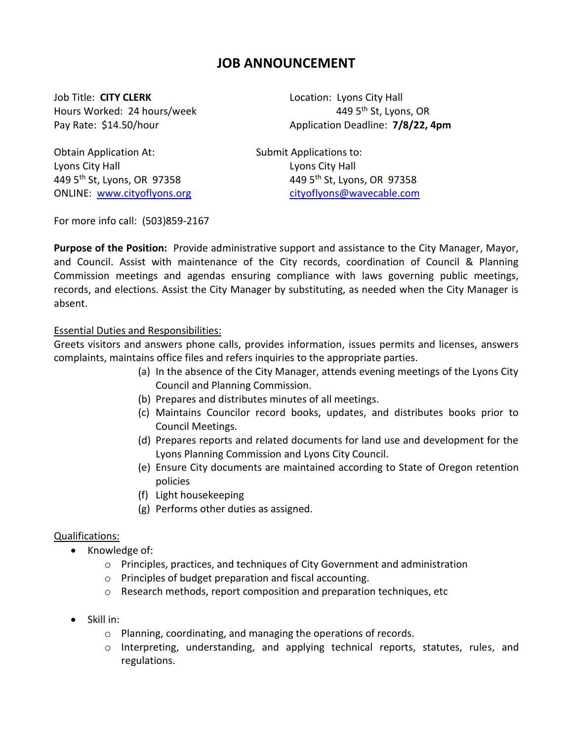# **JOB ANNOUNCEMENT**

Job Title: CITY CLERK **Location: Lyons City Hall** 

Hours Worked: 24 hours/week 449 5<sup>th</sup> St, Lyons, OR Pay Rate: \$14.50/hour Application Deadline: **7/8/22, 4pm**

Obtain Application At: Submit Applications to: Lyons City Hall Lyons City Hall

449 5<sup>th</sup> St, Lyons, OR 97358 449 5<sup>th</sup> St, Lyons, OR 97358 ONLINE: [www.cityoflyons.org](http://www.cityoflyons.org/) [cityoflyons@wavecable.com](mailto:cityoflyons@wavecable.com)

For more info call: (503)859-2167

**Purpose of the Position:** Provide administrative support and assistance to the City Manager, Mayor, and Council. Assist with maintenance of the City records, coordination of Council & Planning Commission meetings and agendas ensuring compliance with laws governing public meetings, records, and elections. Assist the City Manager by substituting, as needed when the City Manager is absent.

### Essential Duties and Responsibilities:

Greets visitors and answers phone calls, provides information, issues permits and licenses, answers complaints, maintains office files and refers inquiries to the appropriate parties.

- (a) In the absence of the City Manager, attends evening meetings of the Lyons City Council and Planning Commission.
- (b) Prepares and distributes minutes of all meetings.
- (c) Maintains Councilor record books, updates, and distributes books prior to Council Meetings.
- (d) Prepares reports and related documents for land use and development for the Lyons Planning Commission and Lyons City Council.
- (e) Ensure City documents are maintained according to State of Oregon retention policies
- (f) Light housekeeping
- (g) Performs other duties as assigned.

### Qualifications:

- Knowledge of:
	- o Principles, practices, and techniques of City Government and administration
	- o Principles of budget preparation and fiscal accounting.
	- o Research methods, report composition and preparation techniques, etc
- Skill in:
	- o Planning, coordinating, and managing the operations of records.
	- o Interpreting, understanding, and applying technical reports, statutes, rules, and regulations.